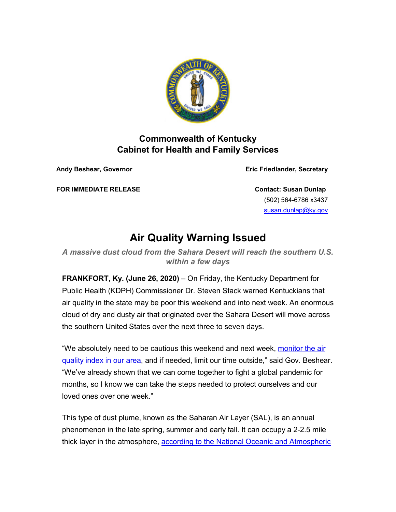

## **Commonwealth of Kentucky Cabinet for Health and Family Services**

**Andy Beshear, Governor Eric Friedlander, Secretary**

**FOR IMMEDIATE RELEASE Contact: Susan Dunlap**

(502) 564-6786 x3437 [susan.dunlap@ky.gov](mailto:susan.dunlap@ky.gov)

## **Air Quality Warning Issued**

*A massive dust cloud from the Sahara Desert will reach the southern U.S. within a few days*

**FRANKFORT, Ky. (June 26, 2020)** – On Friday, the Kentucky Department for Public Health (KDPH) Commissioner Dr. Steven Stack warned Kentuckians that air quality in the state may be poor this weekend and into next week. An enormous cloud of dry and dusty air that originated over the Sahara Desert will move across the southern United States over the next three to seven days.

"We absolutely need to be cautious this weekend and next week, monitor the air [quality index in our area,](https://urldefense.proofpoint.com/v2/url?u=https-3A__lnks.gd_l_eyJhbGciOiJIUzI1NiJ9.eyJidWxsZXRpbl9saW5rX2lkIjoxMDAsInVyaSI6ImJwMjpjbGljayIsImJ1bGxldGluX2lkIjoiMjAyMDA2MjYuMjM1NjQyMTEiLCJ1cmwiOiJodHRwczovL3d3dy5haXJub3cuZ292Lz9jaXR5PUdvc2hlbiZzdGF0ZT1LWSZjb3VudHJ5PVVTQSJ9.R09wWF6-5Fa1uSj-5F3tCqmbrrp3icIhPjA7JKDmQVvO4HM_s_268278193_br_80379649567-2Dl&d=DwMFAA&c=jvUANN7rYqzaQJvTqI-69lgi41yDEZ3CXTgIEaHlx7c&r=_kWkJVusdm_EnpTCZqlbOg&m=cDuRbHJih1siPsfDWiUD9eOAbXTPRiJkFO1vBIMeEA8&s=tLjLcQXH94hCKrlqxxNkpJiPqfaCanZGqXzTbVyD-hY&e=) and if needed, limit our time outside," said Gov. Beshear. "We've already shown that we can come together to fight a global pandemic for months, so I know we can take the steps needed to protect ourselves and our loved ones over one week."

This type of dust plume, known as the Saharan Air Layer (SAL), is an annual phenomenon in the late spring, summer and early fall. It can occupy a 2-2.5 mile thick layer in the atmosphere, [according to the National Oceanic and Atmospheric](https://urldefense.proofpoint.com/v2/url?u=https-3A__lnks.gd_l_eyJhbGciOiJIUzI1NiJ9.eyJidWxsZXRpbl9saW5rX2lkIjoxMDEsInVyaSI6ImJwMjpjbGljayIsImJ1bGxldGluX2lkIjoiMjAyMDA2MjYuMjM1NjQyMTEiLCJ1cmwiOiJodHRwczovL3d3dy5hb21sLm5vYWEuZ292L3NhaGFyYW4tYWlyLWxheWVyLyJ9.uV-5FvB7D-2DTidM7qwwyDxg6eGoZuWx6bSOcosrxVPWEYI_s_268278193_br_80379649567-2Dl&d=DwMFAA&c=jvUANN7rYqzaQJvTqI-69lgi41yDEZ3CXTgIEaHlx7c&r=_kWkJVusdm_EnpTCZqlbOg&m=cDuRbHJih1siPsfDWiUD9eOAbXTPRiJkFO1vBIMeEA8&s=Cys7zdwYlz9AtY9gpa15VCXehlBVmNZWCutF_L7v5pY&e=)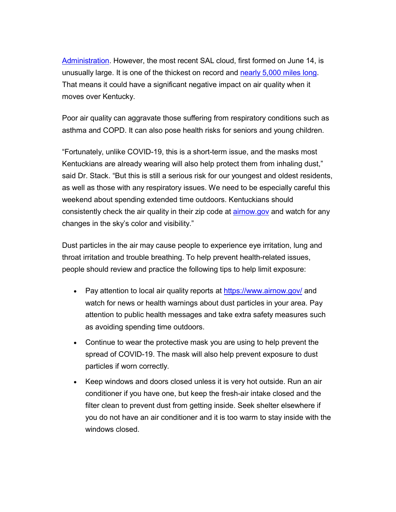[Administration.](https://urldefense.proofpoint.com/v2/url?u=https-3A__lnks.gd_l_eyJhbGciOiJIUzI1NiJ9.eyJidWxsZXRpbl9saW5rX2lkIjoxMDEsInVyaSI6ImJwMjpjbGljayIsImJ1bGxldGluX2lkIjoiMjAyMDA2MjYuMjM1NjQyMTEiLCJ1cmwiOiJodHRwczovL3d3dy5hb21sLm5vYWEuZ292L3NhaGFyYW4tYWlyLWxheWVyLyJ9.uV-5FvB7D-2DTidM7qwwyDxg6eGoZuWx6bSOcosrxVPWEYI_s_268278193_br_80379649567-2Dl&d=DwMFAA&c=jvUANN7rYqzaQJvTqI-69lgi41yDEZ3CXTgIEaHlx7c&r=_kWkJVusdm_EnpTCZqlbOg&m=cDuRbHJih1siPsfDWiUD9eOAbXTPRiJkFO1vBIMeEA8&s=Cys7zdwYlz9AtY9gpa15VCXehlBVmNZWCutF_L7v5pY&e=) However, the most recent SAL cloud, first formed on June 14, is unusually large. It is one of the thickest on record and [nearly 5,000 miles long.](https://urldefense.proofpoint.com/v2/url?u=https-3A__lnks.gd_l_eyJhbGciOiJIUzI1NiJ9.eyJidWxsZXRpbl9saW5rX2lkIjoxMDIsInVyaSI6ImJwMjpjbGljayIsImJ1bGxldGluX2lkIjoiMjAyMDA2MjYuMjM1NjQyMTEiLCJ1cmwiOiJodHRwczovL3d3dy53YXNoaW5ndG9ucG9zdC5jb20vd2VhdGhlci8yMDIwLzA2LzI0L3NhaGFyYS1kdXN0LXBsdW1lLWd1bGYtY29hc3QvIn0.0zGOPbAR-5FJlfDKuQ9FAc6eOLM-2DXa-2D3pGCHA41dWbXUM_s_268278193_br_80379649567-2Dl&d=DwMFAA&c=jvUANN7rYqzaQJvTqI-69lgi41yDEZ3CXTgIEaHlx7c&r=_kWkJVusdm_EnpTCZqlbOg&m=cDuRbHJih1siPsfDWiUD9eOAbXTPRiJkFO1vBIMeEA8&s=Z2Mnop88eo1fquf50B7DF2-86INuBwWAxtW4XXE9KrA&e=) That means it could have a significant negative impact on air quality when it moves over Kentucky.

Poor air quality can aggravate those suffering from respiratory conditions such as asthma and COPD. It can also pose health risks for seniors and young children.

"Fortunately, unlike COVID-19, this is a short-term issue, and the masks most Kentuckians are already wearing will also help protect them from inhaling dust," said Dr. Stack. "But this is still a serious risk for our youngest and oldest residents, as well as those with any respiratory issues. We need to be especially careful this weekend about spending extended time outdoors. Kentuckians should consistently check the air quality in their zip code at **[airnow.gov](file://EAS.ds.ky.gov/DFS/OR0372/Public/AppData/Local/Microsoft/Windows/INetCache/Content.Outlook/Y9K0WAWO/airnow.gov)** and watch for any changes in the sky's color and visibility."

Dust particles in the air may cause people to experience eye irritation, lung and throat irritation and trouble breathing. To help prevent health-related issues, people should review and practice the following tips to help limit exposure:

- Pay attention to local air quality reports at [https://www.airnow.gov/](https://urldefense.proofpoint.com/v2/url?u=https-3A__lnks.gd_l_eyJhbGciOiJIUzI1NiJ9.eyJidWxsZXRpbl9saW5rX2lkIjoxMDMsInVyaSI6ImJwMjpjbGljayIsImJ1bGxldGluX2lkIjoiMjAyMDA2MjYuMjM1NjQyMTEiLCJ1cmwiOiJodHRwczovL3d3dy5haXJub3cuZ292LyJ9.2-2DBgiMD8zkw0jBcBe9DkdnrJwljI6-2DuvEjy8Mx4ZPs0_s_268278193_br_80379649567-2Dl&d=DwMFAA&c=jvUANN7rYqzaQJvTqI-69lgi41yDEZ3CXTgIEaHlx7c&r=_kWkJVusdm_EnpTCZqlbOg&m=cDuRbHJih1siPsfDWiUD9eOAbXTPRiJkFO1vBIMeEA8&s=_M2IiX8sQ38sy9tq1CakQe8fp6GOXw5R5wG1xigWXJE&e=) and watch for news or health warnings about dust particles in your area. Pay attention to public health messages and take extra safety measures such as avoiding spending time outdoors.
- Continue to wear the protective mask you are using to help prevent the spread of COVID-19. The mask will also help prevent exposure to dust particles if worn correctly.
- Keep windows and doors closed unless it is very hot outside. Run an air conditioner if you have one, but keep the fresh-air intake closed and the filter clean to prevent dust from getting inside. Seek shelter elsewhere if you do not have an air conditioner and it is too warm to stay inside with the windows closed.